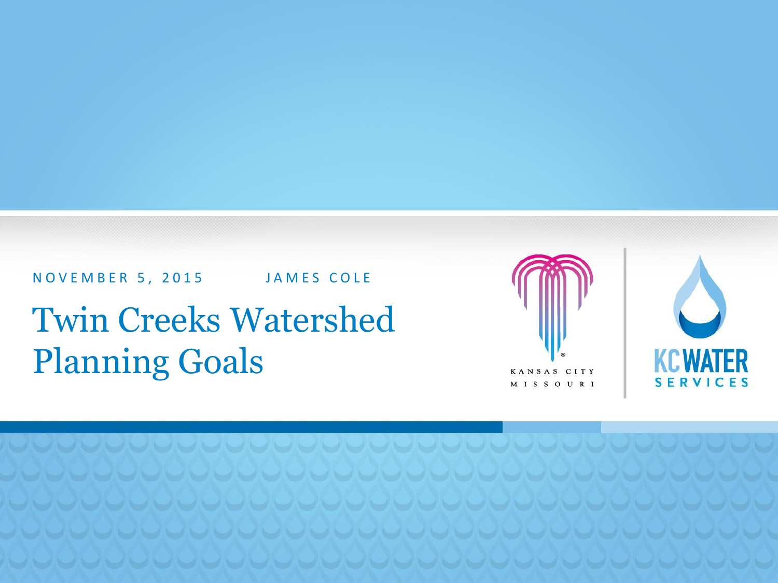N O V E M B E R 5, 2015 JAMES COLE

Twin Creeks Watershed Planning Goals





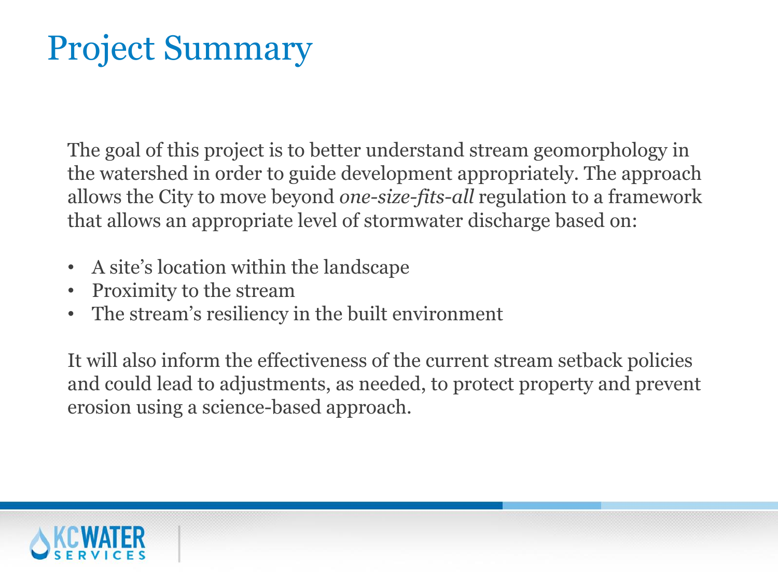# Project Summary

The goal of this project is to better understand stream geomorphology in the watershed in order to guide development appropriately. The approach allows the City to move beyond *one-size-fits-all* regulation to a framework that allows an appropriate level of stormwater discharge based on:

- A site's location within the landscape
- Proximity to the stream
- The stream's resiliency in the built environment

It will also inform the effectiveness of the current stream setback policies and could lead to adjustments, as needed, to protect property and prevent erosion using a science-based approach.

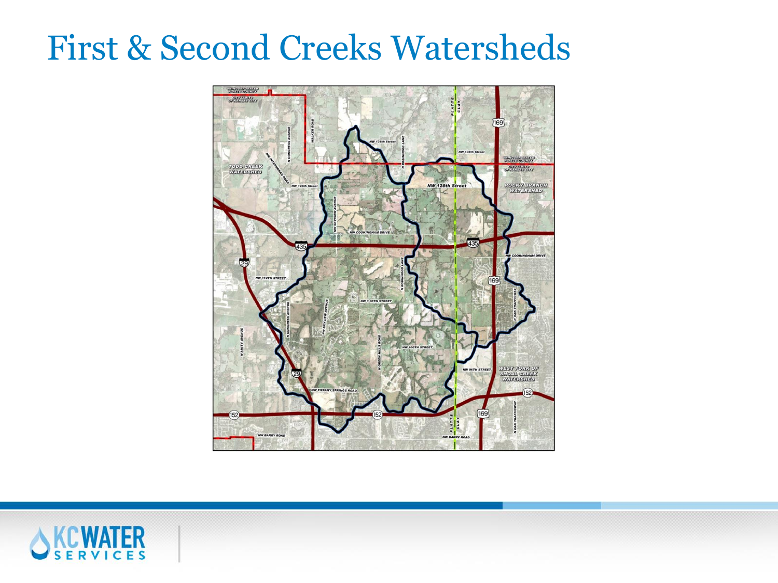### First & Second Creeks Watersheds



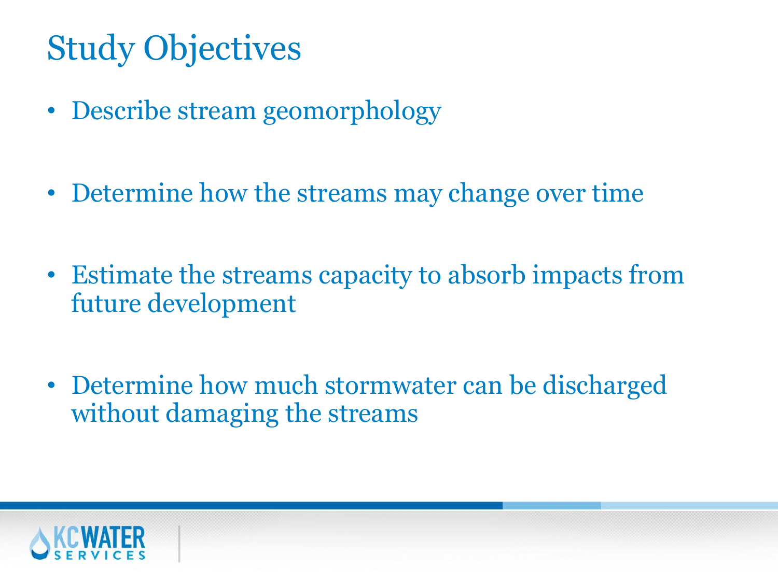# Study Objectives

- Describe stream geomorphology
- Determine how the streams may change over time
- Estimate the streams capacity to absorb impacts from future development
- Determine how much stormwater can be discharged without damaging the streams

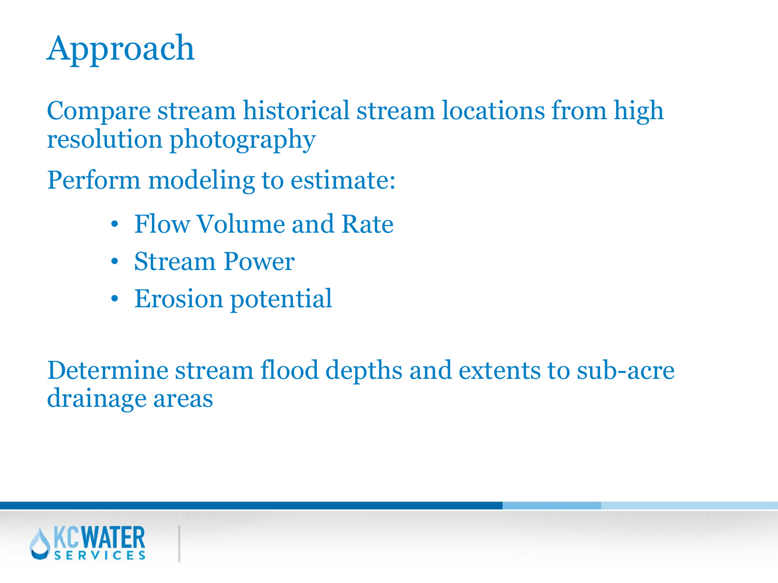# Approach

Compare stream historical stream locations from high resolution photography

Perform modeling to estimate:

- Flow Volume and Rate
- Stream Power
- Erosion potential

Determine stream flood depths and extents to sub-acre drainage areas

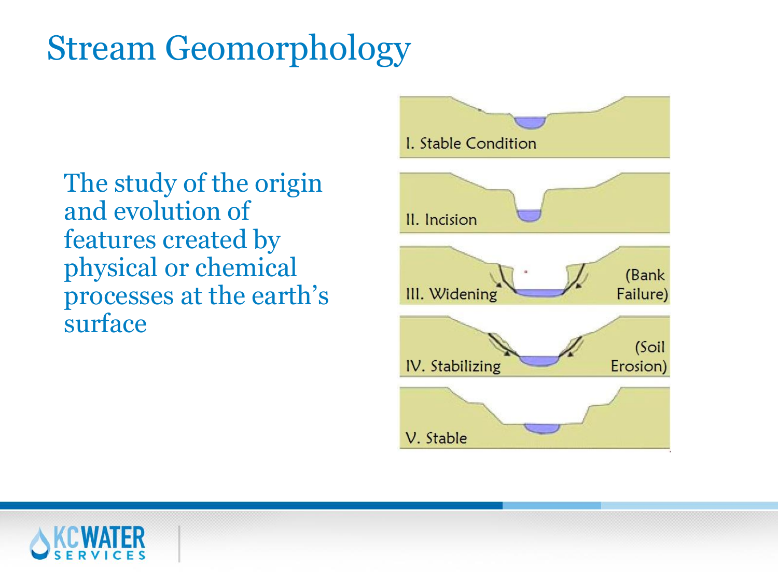# Stream Geomorphology

The study of the origin and evolution of features created by physical or chemical processes at the earth's surface



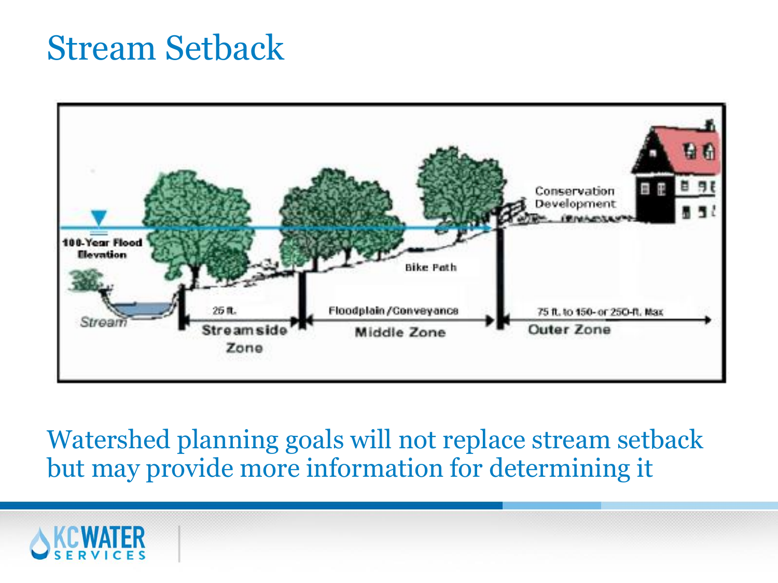#### Stream Setback



Watershed planning goals will not replace stream setback but may provide more information for determining it

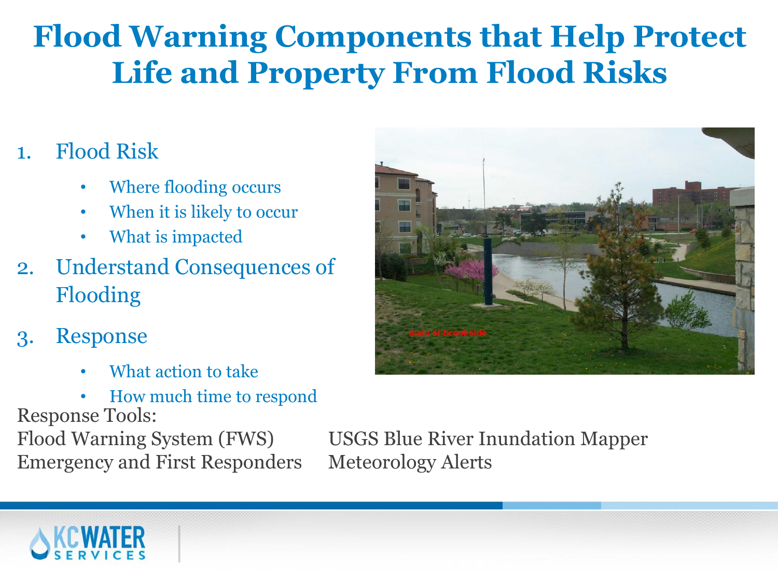#### **Flood Warning Components that Help Protect Life and Property From Flood Risks**

#### 1. Flood Risk

- Where flooding occurs
- When it is likely to occur
- What is impacted
- 2. Understand Consequences of Flooding
- 3. Response
	- What action to take
	- How much time to respond

Response Tools:

Emergency and First Responders Meteorology Alerts

Flood Warning System (FWS) USGS Blue River Inundation Mapper



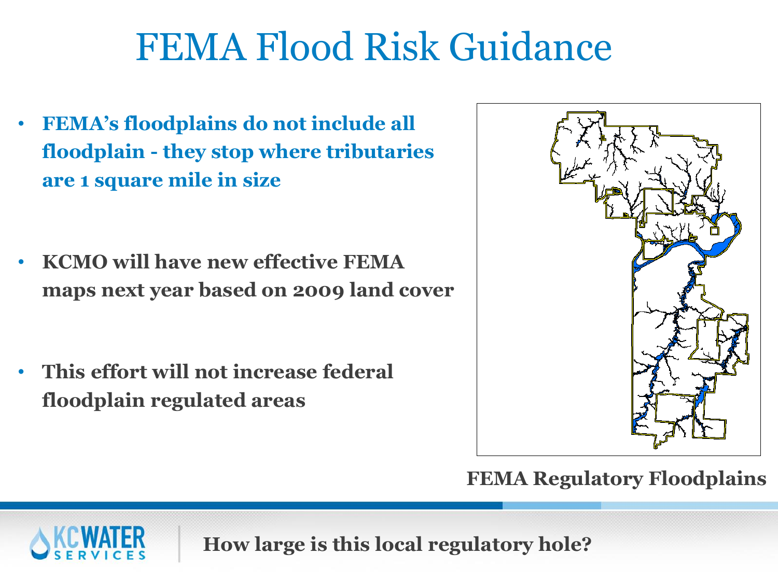# FEMA Flood Risk Guidance

- **FEMA's floodplains do not include all floodplain - they stop where tributaries are 1 square mile in size**
- **KCMO will have new effective FEMA maps next year based on 2009 land cover**
- **This effort will not increase federal floodplain regulated areas**



**FEMA Regulatory Floodplains**



**How large is this local regulatory hole?**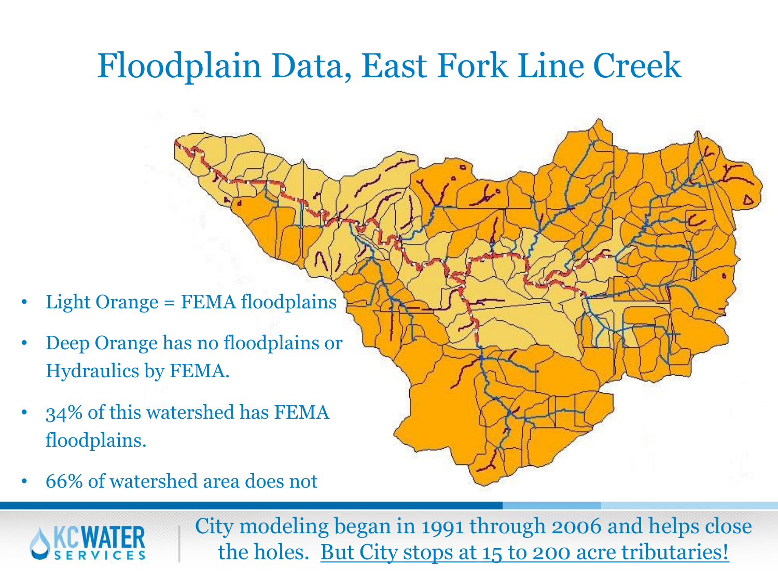# Floodplain Data, East Fork Line Creek

- Light Orange = FEMA floodplains
- Deep Orange has no floodplains or Hydraulics by FEMA.
- 34% of this watershed has FEMA floodplains.
- 66% of watershed area does not

City modeling began in 1991 through 2006 and helps close the holes. But City stops at 15 to 200 acre tributaries!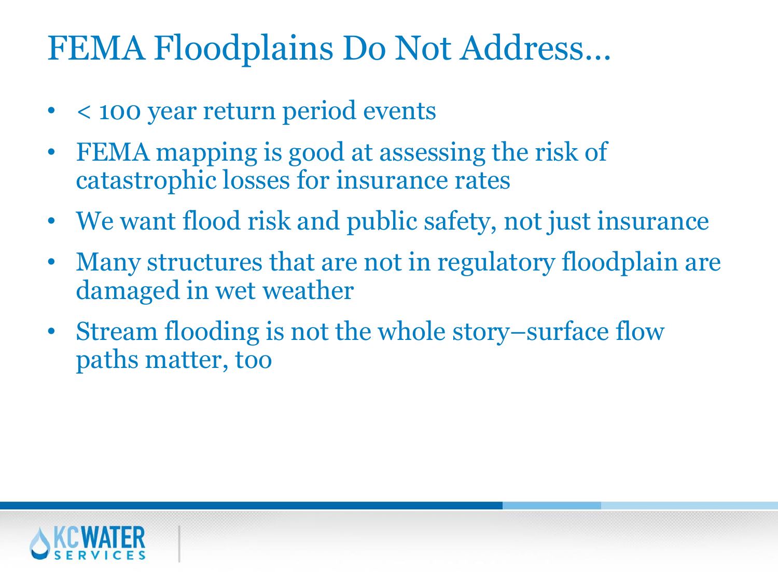# FEMA Floodplains Do Not Address…

- < 100 year return period events
- FEMA mapping is good at assessing the risk of catastrophic losses for insurance rates
- We want flood risk and public safety, not just insurance
- Many structures that are not in regulatory floodplain are damaged in wet weather
- Stream flooding is not the whole story–surface flow paths matter, too

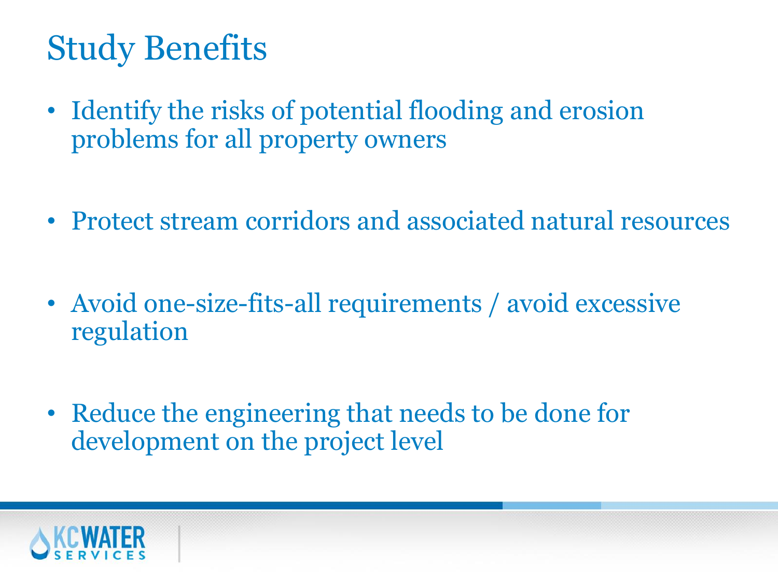# Study Benefits

- Identify the risks of potential flooding and erosion problems for all property owners
- Protect stream corridors and associated natural resources
- Avoid one-size-fits-all requirements / avoid excessive regulation
- Reduce the engineering that needs to be done for development on the project level